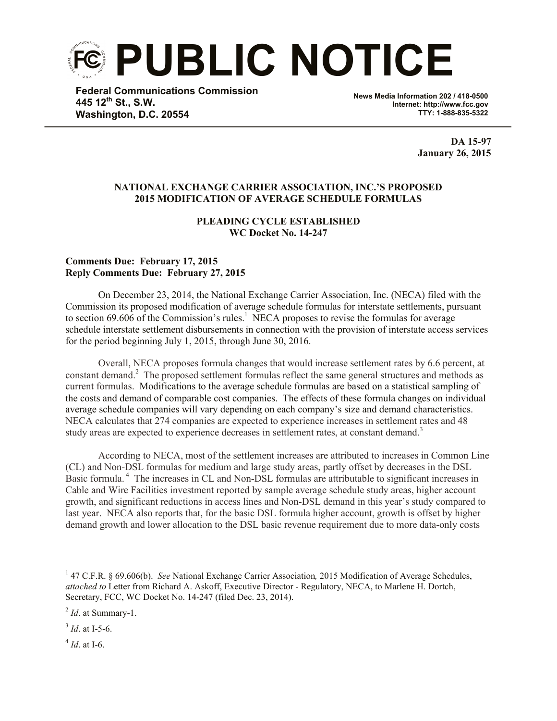**PUBLIC NOTICE**

**Federal Communications Commission 445 12th St., S.W. Washington, D.C. 20554**

**News Media Information 202 / 418-0500 Internet: http://www.fcc.gov TTY: 1-888-835-5322**

> **DA 15-97 January 26, 2015**

## **NATIONAL EXCHANGE CARRIER ASSOCIATION, INC.'S PROPOSED 2015 MODIFICATION OF AVERAGE SCHEDULE FORMULAS**

## **PLEADING CYCLE ESTABLISHED WC Docket No. 14-247**

## **Comments Due: February 17, 2015 Reply Comments Due: February 27, 2015**

On December 23, 2014, the National Exchange Carrier Association, Inc. (NECA) filed with the Commission its proposed modification of average schedule formulas for interstate settlements, pursuant to section 69.606 of the Commission's rules.<sup>1</sup> NECA proposes to revise the formulas for average schedule interstate settlement disbursements in connection with the provision of interstate access services for the period beginning July 1, 2015, through June 30, 2016.

Overall, NECA proposes formula changes that would increase settlement rates by 6.6 percent, at constant demand.<sup>2</sup> The proposed settlement formulas reflect the same general structures and methods as current formulas. Modifications to the average schedule formulas are based on a statistical sampling of the costs and demand of comparable cost companies. The effects of these formula changes on individual average schedule companies will vary depending on each company's size and demand characteristics. NECA calculates that 274 companies are expected to experience increases in settlement rates and 48 study areas are expected to experience decreases in settlement rates, at constant demand.<sup>3</sup>

According to NECA, most of the settlement increases are attributed to increases in Common Line (CL) and Non-DSL formulas for medium and large study areas, partly offset by decreases in the DSL Basic formula.<sup>4</sup> The increases in CL and Non-DSL formulas are attributable to significant increases in Cable and Wire Facilities investment reported by sample average schedule study areas, higher account growth, and significant reductions in access lines and Non-DSL demand in this year's study compared to last year. NECA also reports that, for the basic DSL formula higher account, growth is offset by higher demand growth and lower allocation to the DSL basic revenue requirement due to more data-only costs

4 *Id*. at I-6.

l

<sup>&</sup>lt;sup>1</sup> 47 C.F.R. § 69.606(b). *See* National Exchange Carrier Association, 2015 Modification of Average Schedules, *attached to* Letter from Richard A. Askoff, Executive Director - Regulatory, NECA, to Marlene H. Dortch, Secretary, FCC, WC Docket No. 14-247 (filed Dec. 23, 2014).

<sup>2</sup> *Id*. at Summary-1.

<sup>3</sup> *Id*. at I-5-6.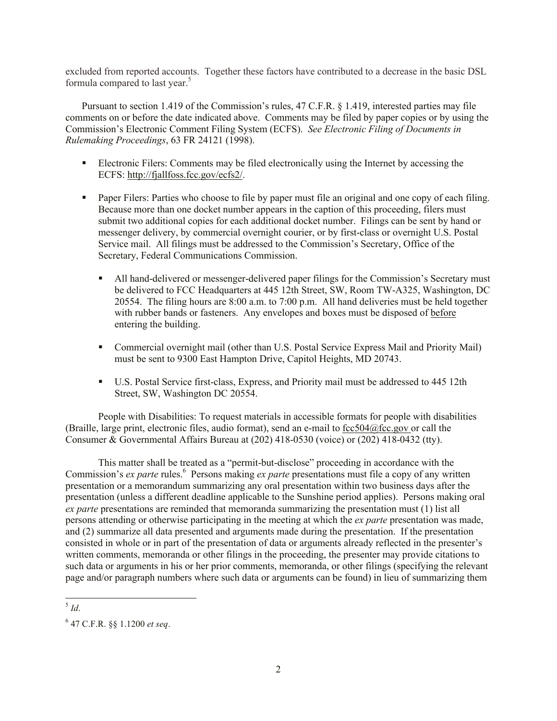excluded from reported accounts. Together these factors have contributed to a decrease in the basic DSL formula compared to last year. 5

Pursuant to section 1.419 of the Commission's rules, 47 C.F.R. § 1.419, interested parties may file comments on or before the date indicated above. Comments may be filed by paper copies or by using the Commission's Electronic Comment Filing System (ECFS). *See Electronic Filing of Documents in Rulemaking Proceedings*, 63 FR 24121 (1998).

- Electronic Filers: Comments may be filed electronically using the Internet by accessing the ECFS: http://fjallfoss.fcc.gov/ecfs2/.
- **Paper Filers: Parties who choose to file by paper must file an original and one copy of each filing.** Because more than one docket number appears in the caption of this proceeding, filers must submit two additional copies for each additional docket number. Filings can be sent by hand or messenger delivery, by commercial overnight courier, or by first-class or overnight U.S. Postal Service mail. All filings must be addressed to the Commission's Secretary, Office of the Secretary, Federal Communications Commission.
	- All hand-delivered or messenger-delivered paper filings for the Commission's Secretary must be delivered to FCC Headquarters at 445 12th Street, SW, Room TW-A325, Washington, DC 20554. The filing hours are 8:00 a.m. to 7:00 p.m. All hand deliveries must be held together with rubber bands or fasteners. Any envelopes and boxes must be disposed of before entering the building.
	- Commercial overnight mail (other than U.S. Postal Service Express Mail and Priority Mail) must be sent to 9300 East Hampton Drive, Capitol Heights, MD 20743.
	- U.S. Postal Service first-class, Express, and Priority mail must be addressed to 445 12th Street, SW, Washington DC 20554.

People with Disabilities: To request materials in accessible formats for people with disabilities (Braille, large print, electronic files, audio format), send an e-mail to fcc504@fcc.gov or call the Consumer & Governmental Affairs Bureau at (202) 418-0530 (voice) or (202) 418-0432 (tty).

This matter shall be treated as a "permit-but-disclose" proceeding in accordance with the Commission's *ex parte* rules.<sup>6</sup> Persons making *ex parte* presentations must file a copy of any written presentation or a memorandum summarizing any oral presentation within two business days after the presentation (unless a different deadline applicable to the Sunshine period applies). Persons making oral *ex parte* presentations are reminded that memoranda summarizing the presentation must (1) list all persons attending or otherwise participating in the meeting at which the *ex parte* presentation was made, and (2) summarize all data presented and arguments made during the presentation. If the presentation consisted in whole or in part of the presentation of data or arguments already reflected in the presenter's written comments, memoranda or other filings in the proceeding, the presenter may provide citations to such data or arguments in his or her prior comments, memoranda, or other filings (specifying the relevant page and/or paragraph numbers where such data or arguments can be found) in lieu of summarizing them

l 5 *Id*.

<sup>6</sup> 47 C.F.R. §§ 1.1200 *et seq*.